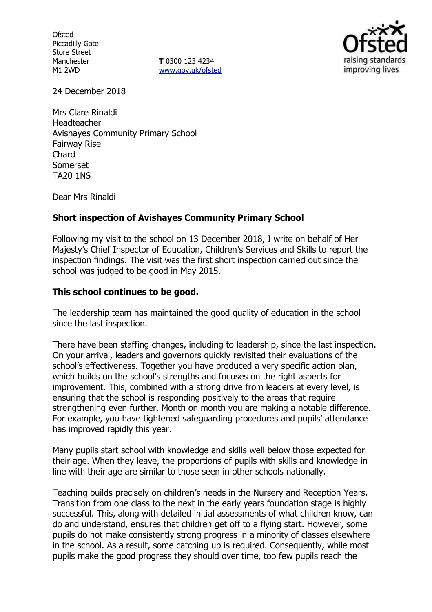**Ofsted** Piccadilly Gate Store Street Manchester M1 2WD

**T** 0300 123 4234 www.gov.uk/ofsted



24 December 2018

Mrs Clare Rinaldi Headteacher Avishayes Community Primary School Fairway Rise Chard Somerset TA20 1NS

Dear Mrs Rinaldi

## **Short inspection of Avishayes Community Primary School**

Following my visit to the school on 13 December 2018, I write on behalf of Her Majesty's Chief Inspector of Education, Children's Services and Skills to report the inspection findings. The visit was the first short inspection carried out since the school was judged to be good in May 2015.

## **This school continues to be good.**

The leadership team has maintained the good quality of education in the school since the last inspection.

There have been staffing changes, including to leadership, since the last inspection. On your arrival, leaders and governors quickly revisited their evaluations of the school's effectiveness. Together you have produced a very specific action plan, which builds on the school's strengths and focuses on the right aspects for improvement. This, combined with a strong drive from leaders at every level, is ensuring that the school is responding positively to the areas that require strengthening even further. Month on month you are making a notable difference. For example, you have tightened safeguarding procedures and pupils' attendance has improved rapidly this year.

Many pupils start school with knowledge and skills well below those expected for their age. When they leave, the proportions of pupils with skills and knowledge in line with their age are similar to those seen in other schools nationally.

Teaching builds precisely on children's needs in the Nursery and Reception Years. Transition from one class to the next in the early years foundation stage is highly successful. This, along with detailed initial assessments of what children know, can do and understand, ensures that children get off to a flying start. However, some pupils do not make consistently strong progress in a minority of classes elsewhere in the school. As a result, some catching up is required. Consequently, while most pupils make the good progress they should over time, too few pupils reach the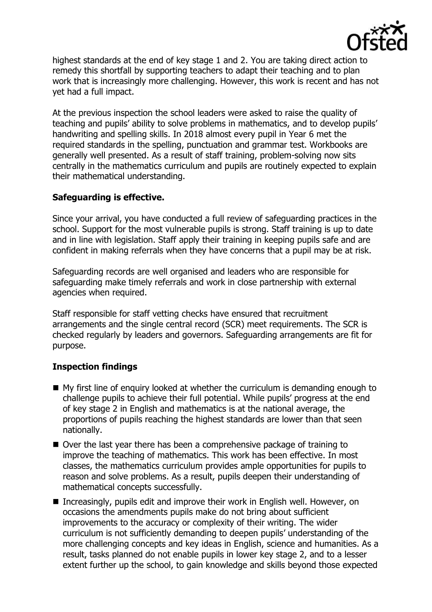

highest standards at the end of key stage 1 and 2. You are taking direct action to remedy this shortfall by supporting teachers to adapt their teaching and to plan work that is increasingly more challenging. However, this work is recent and has not yet had a full impact.

At the previous inspection the school leaders were asked to raise the quality of teaching and pupils' ability to solve problems in mathematics, and to develop pupils' handwriting and spelling skills. In 2018 almost every pupil in Year 6 met the required standards in the spelling, punctuation and grammar test. Workbooks are generally well presented. As a result of staff training, problem-solving now sits centrally in the mathematics curriculum and pupils are routinely expected to explain their mathematical understanding.

## **Safeguarding is effective.**

Since your arrival, you have conducted a full review of safeguarding practices in the school. Support for the most vulnerable pupils is strong. Staff training is up to date and in line with legislation. Staff apply their training in keeping pupils safe and are confident in making referrals when they have concerns that a pupil may be at risk.

Safeguarding records are well organised and leaders who are responsible for safeguarding make timely referrals and work in close partnership with external agencies when required.

Staff responsible for staff vetting checks have ensured that recruitment arrangements and the single central record (SCR) meet requirements. The SCR is checked regularly by leaders and governors. Safeguarding arrangements are fit for purpose.

# **Inspection findings**

- $\blacksquare$  My first line of enguiry looked at whether the curriculum is demanding enough to challenge pupils to achieve their full potential. While pupils' progress at the end of key stage 2 in English and mathematics is at the national average, the proportions of pupils reaching the highest standards are lower than that seen nationally.
- Over the last year there has been a comprehensive package of training to improve the teaching of mathematics. This work has been effective. In most classes, the mathematics curriculum provides ample opportunities for pupils to reason and solve problems. As a result, pupils deepen their understanding of mathematical concepts successfully.
- Increasingly, pupils edit and improve their work in English well. However, on occasions the amendments pupils make do not bring about sufficient improvements to the accuracy or complexity of their writing. The wider curriculum is not sufficiently demanding to deepen pupils' understanding of the more challenging concepts and key ideas in English, science and humanities. As a result, tasks planned do not enable pupils in lower key stage 2, and to a lesser extent further up the school, to gain knowledge and skills beyond those expected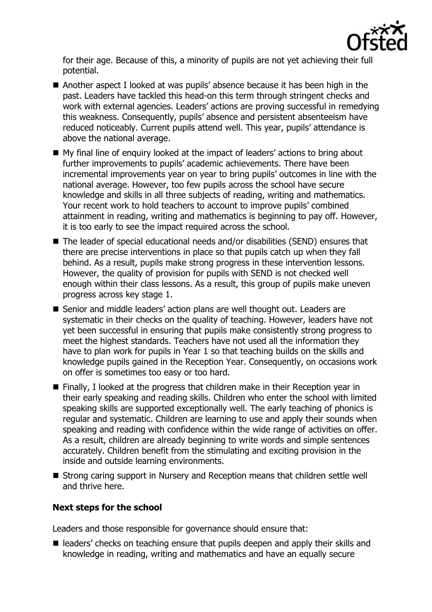

for their age. Because of this, a minority of pupils are not yet achieving their full potential.

- Another aspect I looked at was pupils' absence because it has been high in the past. Leaders have tackled this head-on this term through stringent checks and work with external agencies. Leaders' actions are proving successful in remedying this weakness. Consequently, pupils' absence and persistent absenteeism have reduced noticeably. Current pupils attend well. This year, pupils' attendance is above the national average.
- My final line of enquiry looked at the impact of leaders' actions to bring about further improvements to pupils' academic achievements. There have been incremental improvements year on year to bring pupils' outcomes in line with the national average. However, too few pupils across the school have secure knowledge and skills in all three subjects of reading, writing and mathematics. Your recent work to hold teachers to account to improve pupils' combined attainment in reading, writing and mathematics is beginning to pay off. However, it is too early to see the impact required across the school.
- The leader of special educational needs and/or disabilities (SEND) ensures that there are precise interventions in place so that pupils catch up when they fall behind. As a result, pupils make strong progress in these intervention lessons. However, the quality of provision for pupils with SEND is not checked well enough within their class lessons. As a result, this group of pupils make uneven progress across key stage 1.
- Senior and middle leaders' action plans are well thought out. Leaders are systematic in their checks on the quality of teaching. However, leaders have not yet been successful in ensuring that pupils make consistently strong progress to meet the highest standards. Teachers have not used all the information they have to plan work for pupils in Year 1 so that teaching builds on the skills and knowledge pupils gained in the Reception Year. Consequently, on occasions work on offer is sometimes too easy or too hard.
- Finally, I looked at the progress that children make in their Reception year in their early speaking and reading skills. Children who enter the school with limited speaking skills are supported exceptionally well. The early teaching of phonics is regular and systematic. Children are learning to use and apply their sounds when speaking and reading with confidence within the wide range of activities on offer. As a result, children are already beginning to write words and simple sentences accurately. Children benefit from the stimulating and exciting provision in the inside and outside learning environments.
- Strong caring support in Nursery and Reception means that children settle well and thrive here.

## **Next steps for the school**

Leaders and those responsible for governance should ensure that:

■ leaders' checks on teaching ensure that pupils deepen and apply their skills and knowledge in reading, writing and mathematics and have an equally secure